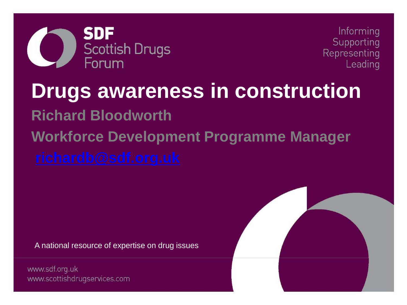

Informing Supporting Representing Leading

# **Drugs awareness in construction Richard Bloodworth Workforce Development Programme Manager**

A national resource of expertise on drug issues

www.sdf.org.uk www.scottishdrugservices.com

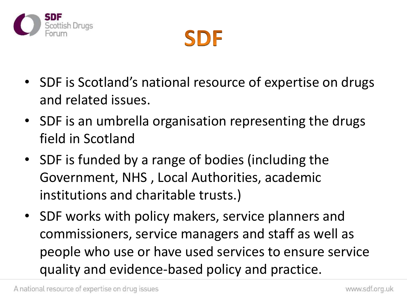



- SDF is Scotland's national resource of expertise on drugs and related issues.
- SDF is an umbrella organisation representing the drugs field in Scotland
- SDF is funded by a range of bodies (including the Government, NHS , Local Authorities, academic institutions and charitable trusts.)
- SDF works with policy makers, service planners and commissioners, service managers and staff as well as people who use or have used services to ensure service quality and evidence-based policy and practice.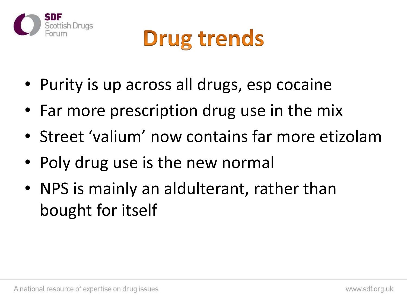

#### **Drug trends**

- Purity is up across all drugs, esp cocaine
- Far more prescription drug use in the mix
- Street 'valium' now contains far more etizolam
- Poly drug use is the new normal
- NPS is mainly an aldulterant, rather than bought for itself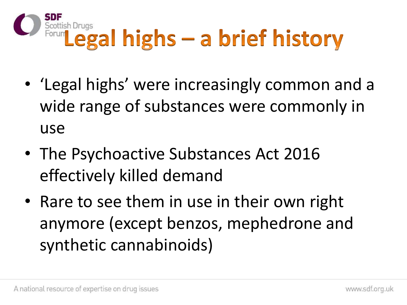

- 'Legal highs' were increasingly common and a wide range of substances were commonly in use
- The Psychoactive Substances Act 2016 effectively killed demand
- Rare to see them in use in their own right anymore (except benzos, mephedrone and synthetic cannabinoids)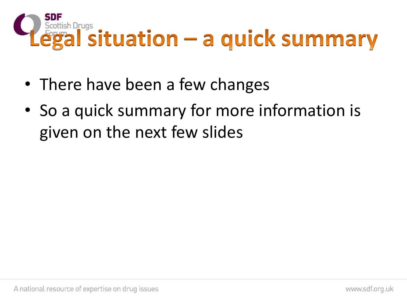

- There have been a few changes
- So a quick summary for more information is given on the next few slides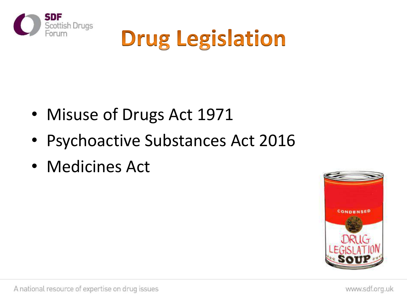

## **Drug Legislation**

- Misuse of Drugs Act 1971
- Psychoactive Substances Act 2016
- Medicines Act

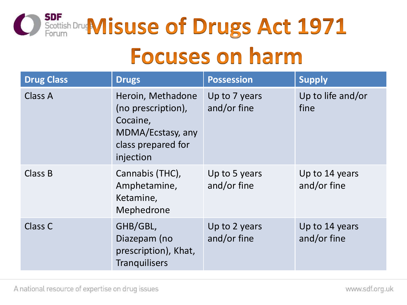

#### **Focuses on harm**

| <b>Drug Class</b> | <b>Drugs</b>                                                                                                | <b>Possession</b>            | <b>Supply</b>                 |
|-------------------|-------------------------------------------------------------------------------------------------------------|------------------------------|-------------------------------|
| <b>Class A</b>    | Heroin, Methadone<br>(no prescription),<br>Cocaine,<br>MDMA/Ecstasy, any<br>class prepared for<br>injection | Up to 7 years<br>and/or fine | Up to life and/or<br>fine     |
| Class B           | Cannabis (THC),<br>Amphetamine,<br>Ketamine,<br>Mephedrone                                                  | Up to 5 years<br>and/or fine | Up to 14 years<br>and/or fine |
| Class C           | GHB/GBL,<br>Diazepam (no<br>prescription), Khat,<br><b>Tranquilisers</b>                                    | Up to 2 years<br>and/or fine | Up to 14 years<br>and/or fine |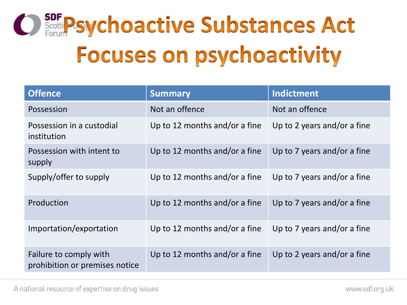

| <b>Offence</b>                                           | <b>Summary</b>                | <b>Indictment</b>           |
|----------------------------------------------------------|-------------------------------|-----------------------------|
| Possession                                               | Not an offence                | Not an offence              |
| Possession in a custodial<br>institution                 | Up to 12 months and/or a fine | Up to 2 years and/or a fine |
| Possession with intent to<br>supply                      | Up to 12 months and/or a fine | Up to 7 years and/or a fine |
| Supply/offer to supply                                   | Up to 12 months and/or a fine | Up to 7 years and/or a fine |
| Production                                               | Up to 12 months and/or a fine | Up to 7 years and/or a fine |
| Importation/exportation                                  | Up to 12 months and/or a fine | Up to 7 years and/or a fine |
| Failure to comply with<br>prohibition or premises notice | Up to 12 months and/or a fine | Up to 2 years and/or a fine |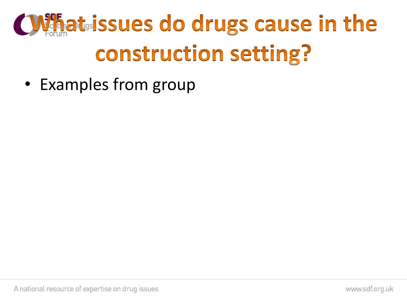## **CWhatsissues do drugs cause in the construction setting?**

• Examples from group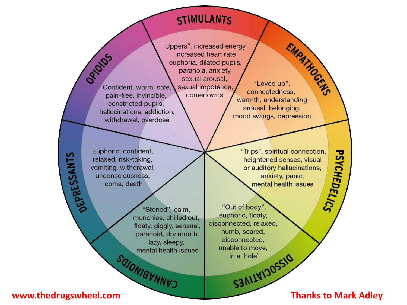#### **STIMULANTS**

"Uppers", increased energy,

increased heart rate euphoria, dilated pupils, paranoia, anxiety, sexual arousal,

comedowns

**ORIGINS** sexual impotence, Confident, warm, safe, pain-free, invincible, constricted pupils, hallucinations, addiction, withdrawal, overdose

Euphoric, confident, relaxed, risk-taking, vomiting, withdrawal, unconsciousness. coma, death

> "Stoned", calm, munchies, chilled out, floaty, giggly, sensual, paranoid, dry mouth, lazy, sleepy, mental health issues SOIONIBUNNVO

EMPATHOGEN "Loved up", connectedness, warmth, understanding arousal, belonging, mood swings, depression

**PSYCHEDELICS** "Trips", spiritual connection, heightened senses, visual or auditory hallucinations, anxiety, panic, mental health issues

"Out of body". euphoric, floaty, disconnected, relaxed, numb, scared, disconnected. unable to move, SIMIVIDOSSIO

www.thedrugswheel.com

DEPRESSANTS

**Thanks to Mark Adley**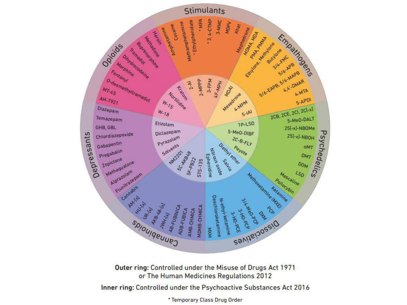

Outer ring: Controlled under the Misuse of Drugs Act 1971 or The Human Medicines Regulations 2012

Inner ring: Controlled under the Psychoactive Substances Act 2016

\* Temporary Class Drug Order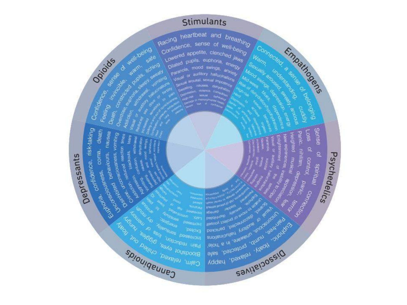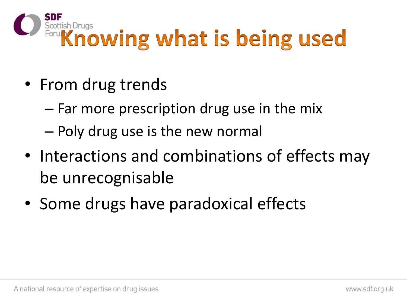

- From drug trends
	- Far more prescription drug use in the mix
	- Poly drug use is the new normal
- Interactions and combinations of effects may be unrecognisable
- Some drugs have paradoxical effects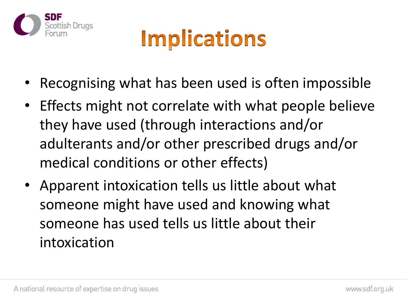

#### **Implications**

- Recognising what has been used is often impossible
- Effects might not correlate with what people believe they have used (through interactions and/or adulterants and/or other prescribed drugs and/or medical conditions or other effects)
- Apparent intoxication tells us little about what someone might have used and knowing what someone has used tells us little about their intoxication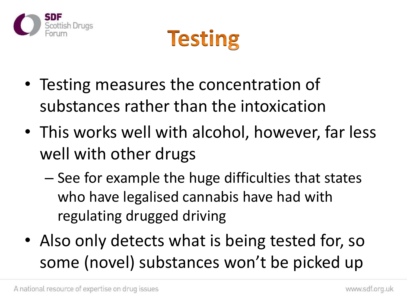



- Testing measures the concentration of substances rather than the intoxication
- This works well with alcohol, however, far less well with other drugs
	- See for example the huge difficulties that states who have legalised cannabis have had with regulating drugged driving
- Also only detects what is being tested for, so some (novel) substances won't be picked up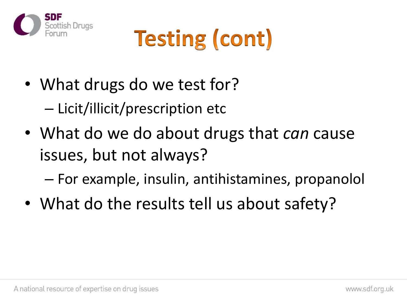

# **Testing (cont)**

- What drugs do we test for? – Licit/illicit/prescription etc
- What do we do about drugs that *can* cause issues, but not always?

– For example, insulin, antihistamines, propanolol

• What do the results tell us about safety?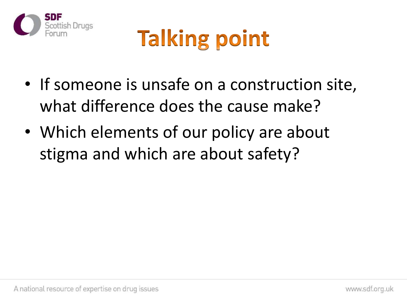

## **Talking point**

- If someone is unsafe on a construction site, what difference does the cause make?
- Which elements of our policy are about stigma and which are about safety?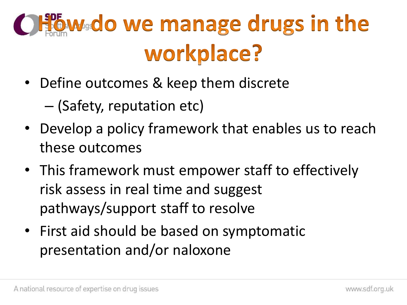## Offowdo we manage drugs in the workplace?

• Define outcomes & keep them discrete

– (Safety, reputation etc)

- Develop a policy framework that enables us to reach these outcomes
- This framework must empower staff to effectively risk assess in real time and suggest pathways/support staff to resolve
- First aid should be based on symptomatic presentation and/or naloxone